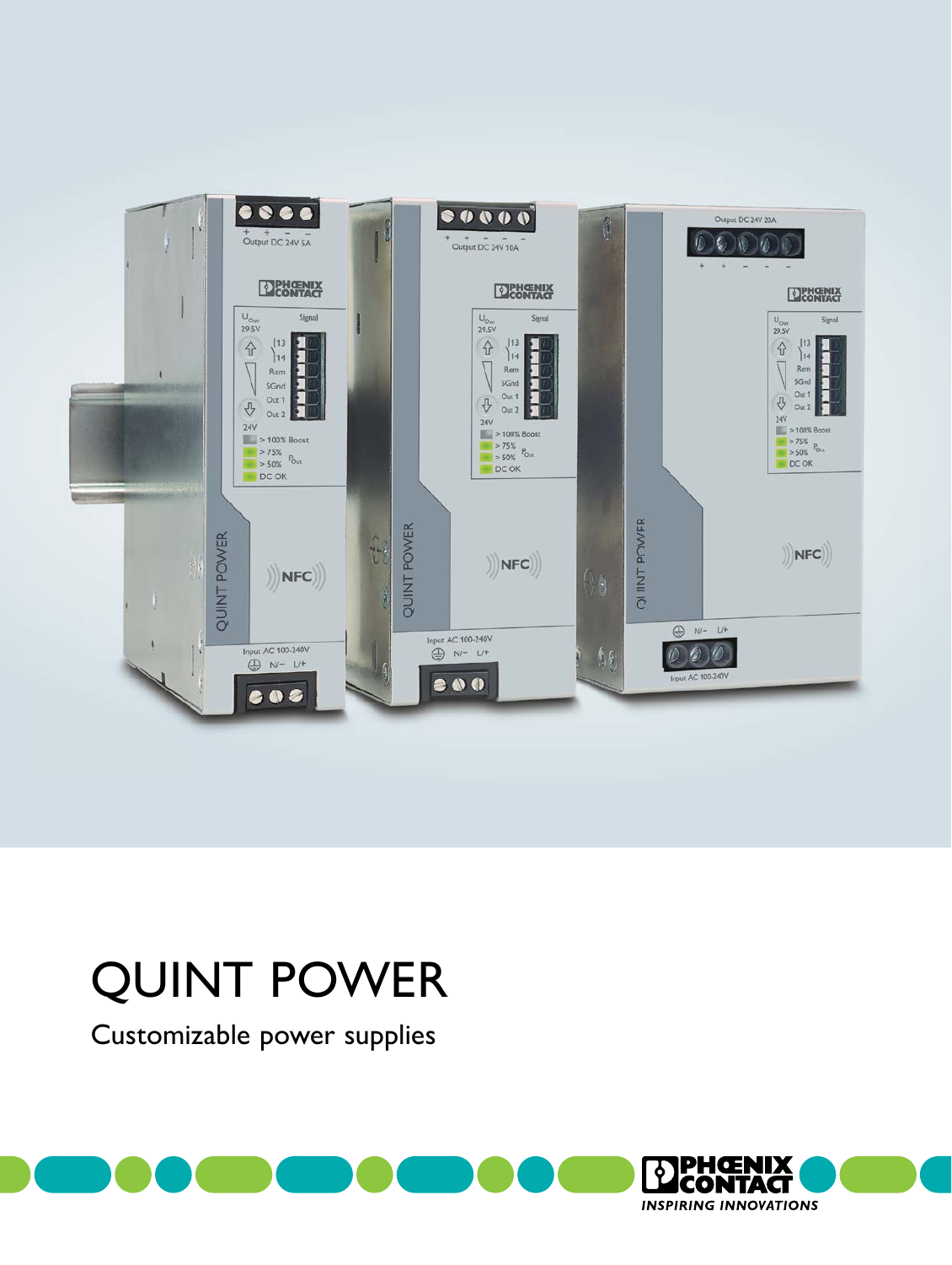

# QUINT POWER

Customizable power supplies